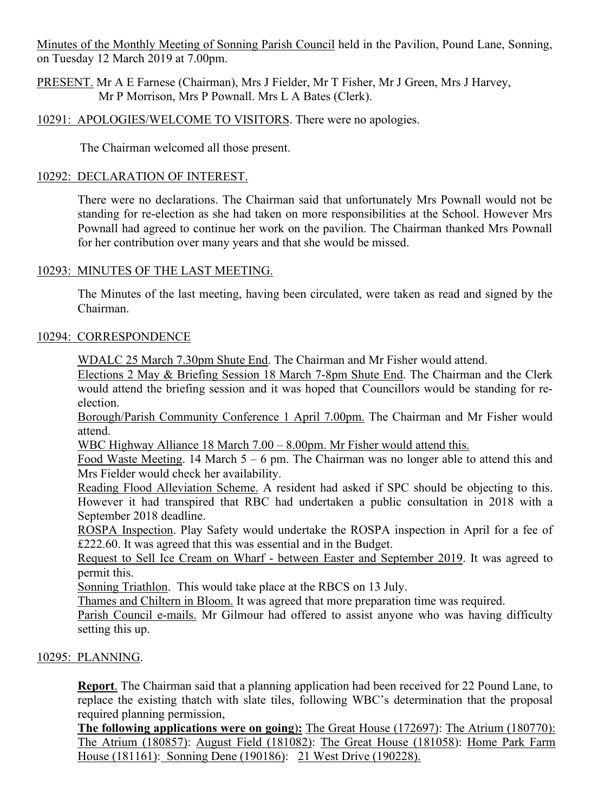Minutes of the Monthly Meeting of Sonning Parish Council held in the Pavilion, Pound Lane, Sonning, on Tuesday 12 March 2019 at 7.00pm.

PRESENT. Mr A E Farnese (Chairman), Mrs J Fielder, Mr T Fisher, Mr J Green, Mrs J Harvey, Mr P Morrison, Mrs P Pownall. Mrs L A Bates (Clerk).

10291: APOLOGIES/WELCOME TO VISITORS. There were no apologies.

The Chairman welcomed all those present.

## 10292: DECLARATION OF INTEREST.

There were no declarations. The Chairman said that unfortunately Mrs Pownall would not be standing for re-election as she had taken on more responsibilities at the School. However Mrs Pownall had agreed to continue her work on the pavilion. The Chairman thanked Mrs Pownall for her contribution over many years and that she would be missed.

# 10293: MINUTES OF THE LAST MEETING.

The Minutes of the last meeting, having been circulated, were taken as read and signed by the Chairman.

## 10294: CORRESPONDENCE

WDALC 25 March 7.30pm Shute End. The Chairman and Mr Fisher would attend.

Elections 2 May & Briefing Session 18 March 7-8pm Shute End. The Chairman and the Clerk would attend the briefing session and it was hoped that Councillors would be standing for reelection.

Borough/Parish Community Conference 1 April 7.00pm. The Chairman and Mr Fisher would attend.

WBC Highway Alliance 18 March 7.00 – 8.00pm. Mr Fisher would attend this.

Food Waste Meeting. 14 March 5 – 6 pm. The Chairman was no longer able to attend this and Mrs Fielder would check her availability.

Reading Flood Alleviation Scheme. A resident had asked if SPC should be objecting to this. However it had transpired that RBC had undertaken a public consultation in 2018 with a September 2018 deadline.

ROSPA Inspection. Play Safety would undertake the ROSPA inspection in April for a fee of £222.60. It was agreed that this was essential and in the Budget.

Request to Sell Ice Cream on Wharf - between Easter and September 2019. It was agreed to permit this.

Sonning Triathlon. This would take place at the RBCS on 13 July.

Thames and Chiltern in Bloom. It was agreed that more preparation time was required.

Parish Council e-mails. Mr Gilmour had offered to assist anyone who was having difficulty setting this up.

## 10295: PLANNING.

**Report**. The Chairman said that a planning application had been received for 22 Pound Lane, to replace the existing thatch with slate tiles, following WBC's determination that the proposal required planning permission,

**The following applications were on going**)**:** The Great House (172697): The Atrium (180770): The Atrium (180857): August Field (181082): The Great House (181058): Home Park Farm House (181161): Sonning Dene (190186): 21 West Drive (190228).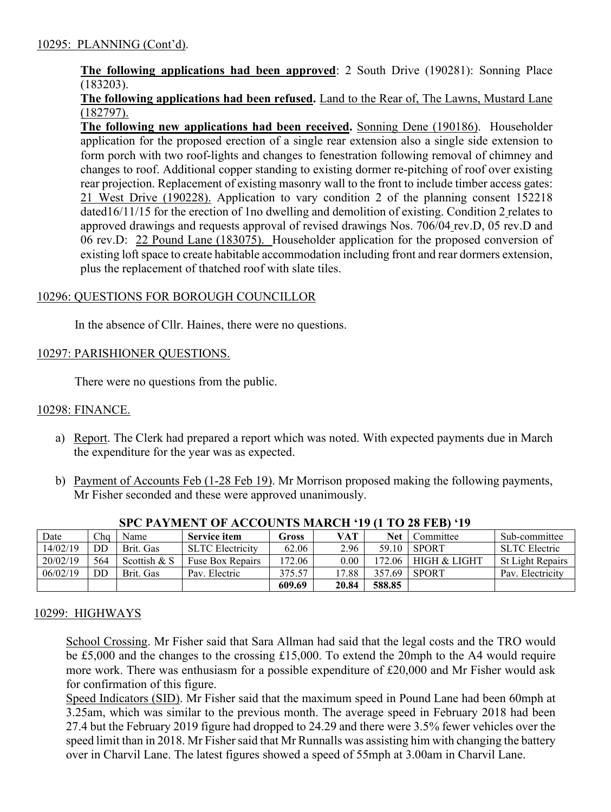## **The following applications had been approved**: 2 South Drive (190281): Sonning Place (183203).

## **The following applications had been refused.** Land to the Rear of, The Lawns, Mustard Lane (182797).

**The following new applications had been received.** Sonning Dene (190186). Householder application for the proposed erection of a single rear extension also a single side extension to form porch with two roof-lights and changes to fenestration following removal of chimney and changes to roof. Additional copper standing to existing dormer re-pitching of roof over existing rear projection. Replacement of existing masonry wall to the front to include timber access gates: 21 West Drive (190228). Application to vary condition 2 of the planning consent 152218 dated16/11/15 for the erection of 1no dwelling and demolition of existing. Condition 2 relates to approved drawings and requests approval of revised drawings Nos. 706/04 rev.D, 05 rev.D and 06 rev.D: 22 Pound Lane (183075). Householder application for the proposed conversion of existing loft space to create habitable accommodation including front and rear dormers extension, plus the replacement of thatched roof with slate tiles.

## 10296: QUESTIONS FOR BOROUGH COUNCILLOR

In the absence of Cllr. Haines, there were no questions.

### 10297: PARISHIONER QUESTIONS.

There were no questions from the public.

### 10298: FINANCE.

- a) Report. The Clerk had prepared a report which was noted. With expected payments due in March the expenditure for the year was as expected.
- b) Payment of Accounts Feb (1-28 Feb 19). Mr Morrison proposed making the following payments, Mr Fisher seconded and these were approved unanimously.

| Date     | Cha | Name         | <b>Service item</b>     | Gross  | <b>VAT</b> | Net    | Committee               | Sub-committee           |
|----------|-----|--------------|-------------------------|--------|------------|--------|-------------------------|-------------------------|
| 14/02/19 | DD  | Brit. Gas    | <b>SLTC Electricity</b> | 62.06  | 2.96       | 59.10  | <b>SPORT</b>            | <b>SLTC</b> Electric    |
| 20/02/19 | 564 | Scottish & S | Fuse Box Repairs        | 172.06 | 0.00       | 172.06 | <b>HIGH &amp; LIGHT</b> | <b>St Light Repairs</b> |
| 06/02/19 | DD  | Brit. Gas    | Pav. Electric           | 375.57 | 17.88      | 357.69 | <b>SPORT</b>            | Pav. Electricity        |
|          |     |              |                         | 609.69 | 20.84      | 588.85 |                         |                         |

### **SPC PAYMENT OF ACCOUNTS MARCH '19 (1 TO 28 FEB) '19**

### 10299: HIGHWAYS

School Crossing. Mr Fisher said that Sara Allman had said that the legal costs and the TRO would be £5,000 and the changes to the crossing £15,000. To extend the 20mph to the A4 would require more work. There was enthusiasm for a possible expenditure of £20,000 and Mr Fisher would ask for confirmation of this figure.

Speed Indicators (SID). Mr Fisher said that the maximum speed in Pound Lane had been 60mph at 3.25am, which was similar to the previous month. The average speed in February 2018 had been 27.4 but the February 2019 figure had dropped to 24.29 and there were 3.5% fewer vehicles over the speed limit than in 2018. Mr Fisher said that Mr Runnalls was assisting him with changing the battery over in Charvil Lane. The latest figures showed a speed of 55mph at 3.00am in Charvil Lane.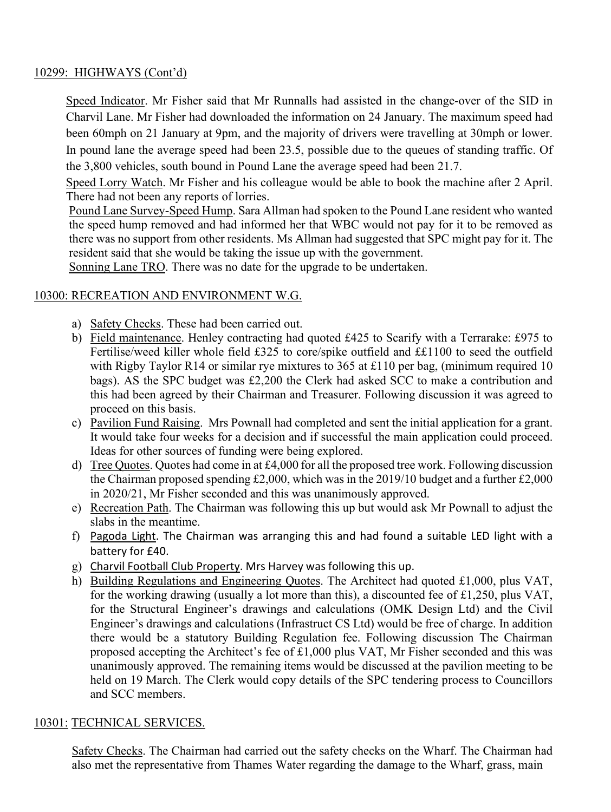### 10299: HIGHWAYS (Cont'd)

Speed Indicator. Mr Fisher said that Mr Runnalls had assisted in the change-over of the SID in Charvil Lane. Mr Fisher had downloaded the information on 24 January. The maximum speed had been 60mph on 21 January at 9pm, and the majority of drivers were travelling at 30mph or lower. In pound lane the average speed had been 23.5, possible due to the queues of standing traffic. Of the 3,800 vehicles, south bound in Pound Lane the average speed had been 21.7.

Speed Lorry Watch. Mr Fisher and his colleague would be able to book the machine after 2 April. There had not been any reports of lorries.

Pound Lane Survey-Speed Hump. Sara Allman had spoken to the Pound Lane resident who wanted the speed hump removed and had informed her that WBC would not pay for it to be removed as there was no support from other residents. Ms Allman had suggested that SPC might pay for it. The resident said that she would be taking the issue up with the government.

Sonning Lane TRO. There was no date for the upgrade to be undertaken.

## 10300: RECREATION AND ENVIRONMENT W.G.

- a) Safety Checks. These had been carried out.
- b) Field maintenance. Henley contracting had quoted £425 to Scarify with a Terrarake: £975 to Fertilise/weed killer whole field £325 to core/spike outfield and ££1100 to seed the outfield with Rigby Taylor R14 or similar rye mixtures to 365 at £110 per bag, (minimum required 10 bags). AS the SPC budget was £2,200 the Clerk had asked SCC to make a contribution and this had been agreed by their Chairman and Treasurer. Following discussion it was agreed to proceed on this basis.
- c) Pavilion Fund Raising. Mrs Pownall had completed and sent the initial application for a grant. It would take four weeks for a decision and if successful the main application could proceed. Ideas for other sources of funding were being explored.
- d) Tree Quotes. Quotes had come in at £4,000 for all the proposed tree work. Following discussion the Chairman proposed spending £2,000, which was in the 2019/10 budget and a further £2,000 in 2020/21, Mr Fisher seconded and this was unanimously approved.
- e) Recreation Path. The Chairman was following this up but would ask Mr Pownall to adjust the slabs in the meantime.
- f) Pagoda Light. The Chairman was arranging this and had found a suitable LED light with a battery for £40.
- g) Charvil Football Club Property. Mrs Harvey was following this up.
- h) Building Regulations and Engineering Quotes. The Architect had quoted £1,000, plus VAT, for the working drawing (usually a lot more than this), a discounted fee of £1,250, plus VAT, for the Structural Engineer's drawings and calculations (OMK Design Ltd) and the Civil Engineer's drawings and calculations (Infrastruct CS Ltd) would be free of charge. In addition there would be a statutory Building Regulation fee. Following discussion The Chairman proposed accepting the Architect's fee of £1,000 plus VAT, Mr Fisher seconded and this was unanimously approved. The remaining items would be discussed at the pavilion meeting to be held on 19 March. The Clerk would copy details of the SPC tendering process to Councillors and SCC members.

### 10301: TECHNICAL SERVICES.

Safety Checks. The Chairman had carried out the safety checks on the Wharf. The Chairman had also met the representative from Thames Water regarding the damage to the Wharf, grass, main